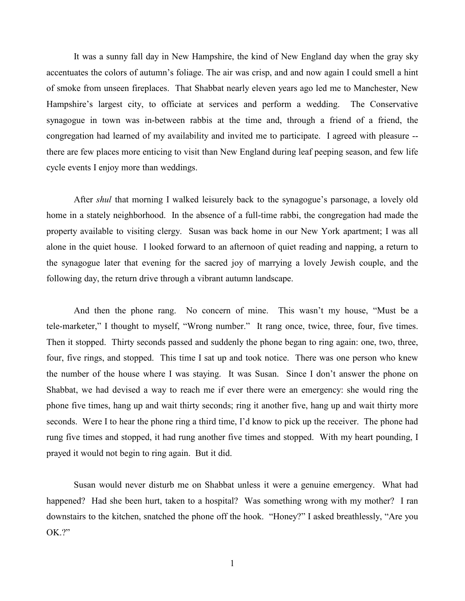It was a sunny fall day in New Hampshire, the kind of New England day when the gray sky accentuates the colors of autumn's foliage. The air was crisp, and and now again I could smell a hint of smoke from unseen fireplaces. That Shabbat nearly eleven years ago led me to Manchester, New Hampshire's largest city, to officiate at services and perform a wedding. The Conservative synagogue in town was in-between rabbis at the time and, through a friend of a friend, the congregation had learned of my availability and invited me to participate. I agreed with pleasure - there are few places more enticing to visit than New England during leaf peeping season, and few life cycle events I enjoy more than weddings.

After *shul* that morning I walked leisurely back to the synagogue's parsonage, a lovely old home in a stately neighborhood. In the absence of a full-time rabbi, the congregation had made the property available to visiting clergy. Susan was back home in our New York apartment; I was all alone in the quiet house. I looked forward to an afternoon of quiet reading and napping, a return to the synagogue later that evening for the sacred joy of marrying a lovely Jewish couple, and the following day, the return drive through a vibrant autumn landscape.

And then the phone rang. No concern of mine. This wasn't my house, "Must be a tele-marketer," I thought to myself, "Wrong number." It rang once, twice, three, four, five times. Then it stopped. Thirty seconds passed and suddenly the phone began to ring again: one, two, three, four, five rings, and stopped. This time I sat up and took notice. There was one person who knew the number of the house where I was staying. It was Susan. Since I don't answer the phone on Shabbat, we had devised a way to reach me if ever there were an emergency: she would ring the phone five times, hang up and wait thirty seconds; ring it another five, hang up and wait thirty more seconds. Were I to hear the phone ring a third time, I'd know to pick up the receiver. The phone had rung five times and stopped, it had rung another five times and stopped. With my heart pounding, I prayed it would not begin to ring again. But it did.

Susan would never disturb me on Shabbat unless it were a genuine emergency. What had happened? Had she been hurt, taken to a hospital? Was something wrong with my mother? I ran downstairs to the kitchen, snatched the phone off the hook. "Honey?" I asked breathlessly, "Are you OK.?"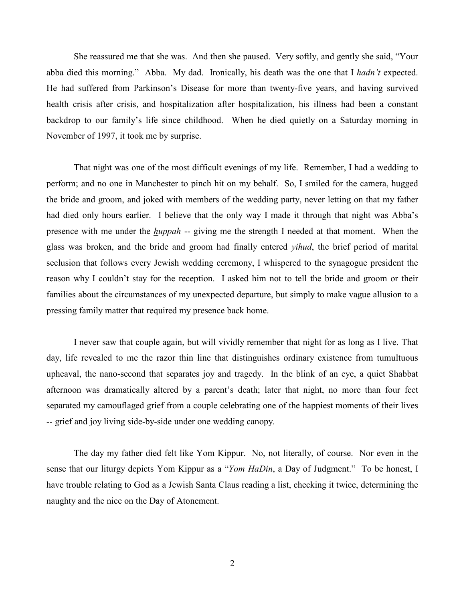She reassured me that she was. And then she paused. Very softly, and gently she said, "Your abba died this morning." Abba. My dad. Ironically, his death was the one that I *hadn't* expected. He had suffered from Parkinson's Disease for more than twenty-five years, and having survived health crisis after crisis, and hospitalization after hospitalization, his illness had been a constant backdrop to our family's life since childhood. When he died quietly on a Saturday morning in November of 1997, it took me by surprise.

That night was one of the most difficult evenings of my life. Remember, I had a wedding to perform; and no one in Manchester to pinch hit on my behalf. So, I smiled for the camera, hugged the bride and groom, and joked with members of the wedding party, never letting on that my father had died only hours earlier. I believe that the only way I made it through that night was Abba's presence with me under the *huppah* -- giving me the strength I needed at that moment. When the glass was broken, and the bride and groom had finally entered *yihud*, the brief period of marital seclusion that follows every Jewish wedding ceremony, I whispered to the synagogue president the reason why I couldn't stay for the reception. I asked him not to tell the bride and groom or their families about the circumstances of my unexpected departure, but simply to make vague allusion to a pressing family matter that required my presence back home.

I never saw that couple again, but will vividly remember that night for as long as I live. That day, life revealed to me the razor thin line that distinguishes ordinary existence from tumultuous upheaval, the nano-second that separates joy and tragedy. In the blink of an eye, a quiet Shabbat afternoon was dramatically altered by a parent's death; later that night, no more than four feet separated my camouflaged grief from a couple celebrating one of the happiest moments of their lives -- grief and joy living side-by-side under one wedding canopy.

The day my father died felt like Yom Kippur. No, not literally, of course. Nor even in the sense that our liturgy depicts Yom Kippur as a "*Yom HaDin*, a Day of Judgment." To be honest, I have trouble relating to God as a Jewish Santa Claus reading a list, checking it twice, determining the naughty and the nice on the Day of Atonement.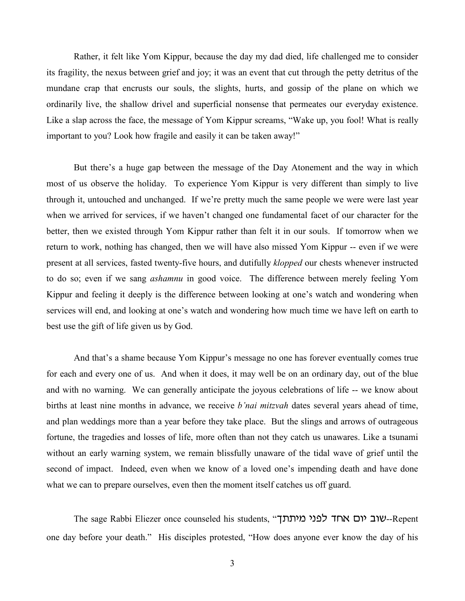Rather, it felt like Yom Kippur, because the day my dad died, life challenged me to consider its fragility, the nexus between grief and joy; it was an event that cut through the petty detritus of the mundane crap that encrusts our souls, the slights, hurts, and gossip of the plane on which we ordinarily live, the shallow drivel and superficial nonsense that permeates our everyday existence. Like a slap across the face, the message of Yom Kippur screams, "Wake up, you fool! What is really important to you? Look how fragile and easily it can be taken away!"

But there's a huge gap between the message of the Day Atonement and the way in which most of us observe the holiday. To experience Yom Kippur is very different than simply to live through it, untouched and unchanged. If we're pretty much the same people we were were last year when we arrived for services, if we haven't changed one fundamental facet of our character for the better, then we existed through Yom Kippur rather than felt it in our souls. If tomorrow when we return to work, nothing has changed, then we will have also missed Yom Kippur -- even if we were present at all services, fasted twenty-five hours, and dutifully *klopped* our chests whenever instructed to do so; even if we sang *ashamnu* in good voice. The difference between merely feeling Yom Kippur and feeling it deeply is the difference between looking at one's watch and wondering when services will end, and looking at one's watch and wondering how much time we have left on earth to best use the gift of life given us by God.

And that's a shame because Yom Kippur's message no one has forever eventually comes true for each and every one of us. And when it does, it may well be on an ordinary day, out of the blue and with no warning. We can generally anticipate the joyous celebrations of life -- we know about births at least nine months in advance, we receive *b'nai mitzvah* dates several years ahead of time, and plan weddings more than a year before they take place. But the slings and arrows of outrageous fortune, the tragedies and losses of life, more often than not they catch us unawares. Like a tsunami without an early warning system, we remain blissfully unaware of the tidal wave of grief until the second of impact. Indeed, even when we know of a loved one's impending death and have done what we can to prepare ourselves, even then the moment itself catches us off guard.

The sage Rabbi Eliezer once counseled his students, "רעוב יום אחד לפני מיתתך" one day before your death." His disciples protested, "How does anyone ever know the day of his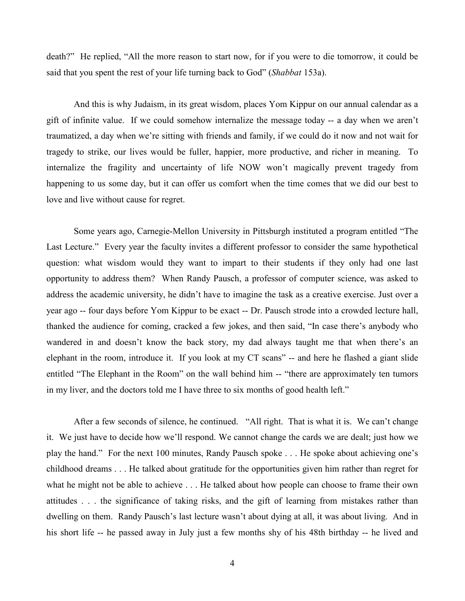death?" He replied, "All the more reason to start now, for if you were to die tomorrow, it could be said that you spent the rest of your life turning back to God" (*Shabbat* 153a).

And this is why Judaism, in its great wisdom, places Yom Kippur on our annual calendar as a gift of infinite value. If we could somehow internalize the message today -- a day when we aren't traumatized, a day when we're sitting with friends and family, if we could do it now and not wait for tragedy to strike, our lives would be fuller, happier, more productive, and richer in meaning. To internalize the fragility and uncertainty of life NOW won't magically prevent tragedy from happening to us some day, but it can offer us comfort when the time comes that we did our best to love and live without cause for regret.

Some years ago, Carnegie-Mellon University in Pittsburgh instituted a program entitled "The Last Lecture." Every year the faculty invites a different professor to consider the same hypothetical question: what wisdom would they want to impart to their students if they only had one last opportunity to address them? When Randy Pausch, a professor of computer science, was asked to address the academic university, he didn't have to imagine the task as a creative exercise. Just over a year ago -- four days before Yom Kippur to be exact -- Dr. Pausch strode into a crowded lecture hall, thanked the audience for coming, cracked a few jokes, and then said, "In case there's anybody who wandered in and doesn't know the back story, my dad always taught me that when there's an elephant in the room, introduce it. If you look at my CT scans" -- and here he flashed a giant slide entitled "The Elephant in the Room" on the wall behind him -- "there are approximately ten tumors in my liver, and the doctors told me I have three to six months of good health left."

After a few seconds of silence, he continued. "All right. That is what it is. We can't change it. We just have to decide how we'll respond. We cannot change the cards we are dealt; just how we play the hand." For the next 100 minutes, Randy Pausch spoke . . . He spoke about achieving one's childhood dreams . . . He talked about gratitude for the opportunities given him rather than regret for what he might not be able to achieve . . . He talked about how people can choose to frame their own attitudes . . . the significance of taking risks, and the gift of learning from mistakes rather than dwelling on them. Randy Pausch's last lecture wasn't about dying at all, it was about living. And in his short life -- he passed away in July just a few months shy of his 48th birthday -- he lived and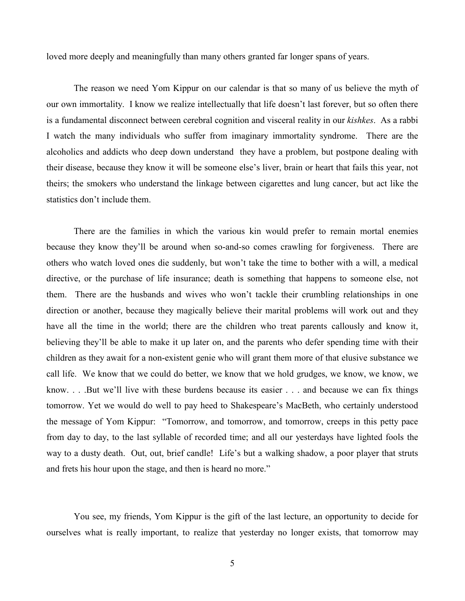loved more deeply and meaningfully than many others granted far longer spans of years.

The reason we need Yom Kippur on our calendar is that so many of us believe the myth of our own immortality. I know we realize intellectually that life doesn't last forever, but so often there is a fundamental disconnect between cerebral cognition and visceral reality in our *kishkes*. As a rabbi I watch the many individuals who suffer from imaginary immortality syndrome. There are the alcoholics and addicts who deep down understand they have a problem, but postpone dealing with their disease, because they know it will be someone else's liver, brain or heart that fails this year, not theirs; the smokers who understand the linkage between cigarettes and lung cancer, but act like the statistics don't include them.

There are the families in which the various kin would prefer to remain mortal enemies because they know they'll be around when so-and-so comes crawling for forgiveness. There are others who watch loved ones die suddenly, but won't take the time to bother with a will, a medical directive, or the purchase of life insurance; death is something that happens to someone else, not them. There are the husbands and wives who won't tackle their crumbling relationships in one direction or another, because they magically believe their marital problems will work out and they have all the time in the world; there are the children who treat parents callously and know it, believing they'll be able to make it up later on, and the parents who defer spending time with their children as they await for a non-existent genie who will grant them more of that elusive substance we call life. We know that we could do better, we know that we hold grudges, we know, we know, we know. . . .But we'll live with these burdens because its easier . . . and because we can fix things tomorrow. Yet we would do well to pay heed to Shakespeare's MacBeth, who certainly understood the message of Yom Kippur: "Tomorrow, and tomorrow, and tomorrow, creeps in this petty pace from day to day, to the last syllable of recorded time; and all our yesterdays have lighted fools the way to a dusty death. Out, out, brief candle! Life's but a walking shadow, a poor player that struts and frets his hour upon the stage, and then is heard no more."

You see, my friends, Yom Kippur is the gift of the last lecture, an opportunity to decide for ourselves what is really important, to realize that yesterday no longer exists, that tomorrow may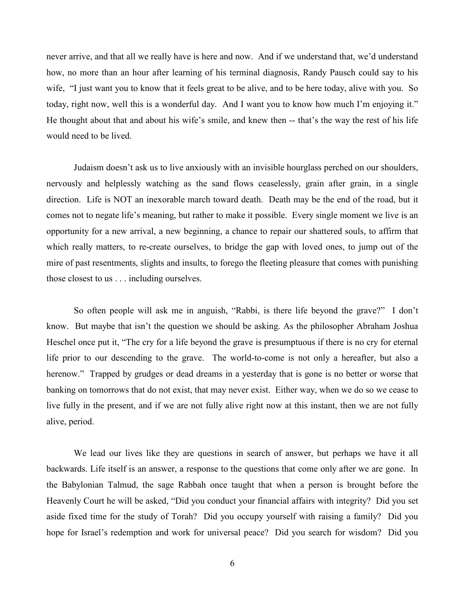never arrive, and that all we really have is here and now. And if we understand that, we'd understand how, no more than an hour after learning of his terminal diagnosis, Randy Pausch could say to his wife, "I just want you to know that it feels great to be alive, and to be here today, alive with you. So today, right now, well this is a wonderful day. And I want you to know how much I'm enjoying it." He thought about that and about his wife's smile, and knew then -- that's the way the rest of his life would need to be lived.

Judaism doesn't ask us to live anxiously with an invisible hourglass perched on our shoulders, nervously and helplessly watching as the sand flows ceaselessly, grain after grain, in a single direction. Life is NOT an inexorable march toward death. Death may be the end of the road, but it comes not to negate life's meaning, but rather to make it possible. Every single moment we live is an opportunity for a new arrival, a new beginning, a chance to repair our shattered souls, to affirm that which really matters, to re-create ourselves, to bridge the gap with loved ones, to jump out of the mire of past resentments, slights and insults, to forego the fleeting pleasure that comes with punishing those closest to us . . . including ourselves.

So often people will ask me in anguish, "Rabbi, is there life beyond the grave?" I don't know. But maybe that isn't the question we should be asking. As the philosopher Abraham Joshua Heschel once put it, "The cry for a life beyond the grave is presumptuous if there is no cry for eternal life prior to our descending to the grave. The world-to-come is not only a hereafter, but also a herenow." Trapped by grudges or dead dreams in a yesterday that is gone is no better or worse that banking on tomorrows that do not exist, that may never exist. Either way, when we do so we cease to live fully in the present, and if we are not fully alive right now at this instant, then we are not fully alive, period.

We lead our lives like they are questions in search of answer, but perhaps we have it all backwards. Life itself is an answer, a response to the questions that come only after we are gone. In the Babylonian Talmud, the sage Rabbah once taught that when a person is brought before the Heavenly Court he will be asked, "Did you conduct your financial affairs with integrity? Did you set aside fixed time for the study of Torah? Did you occupy yourself with raising a family? Did you hope for Israel's redemption and work for universal peace? Did you search for wisdom? Did you